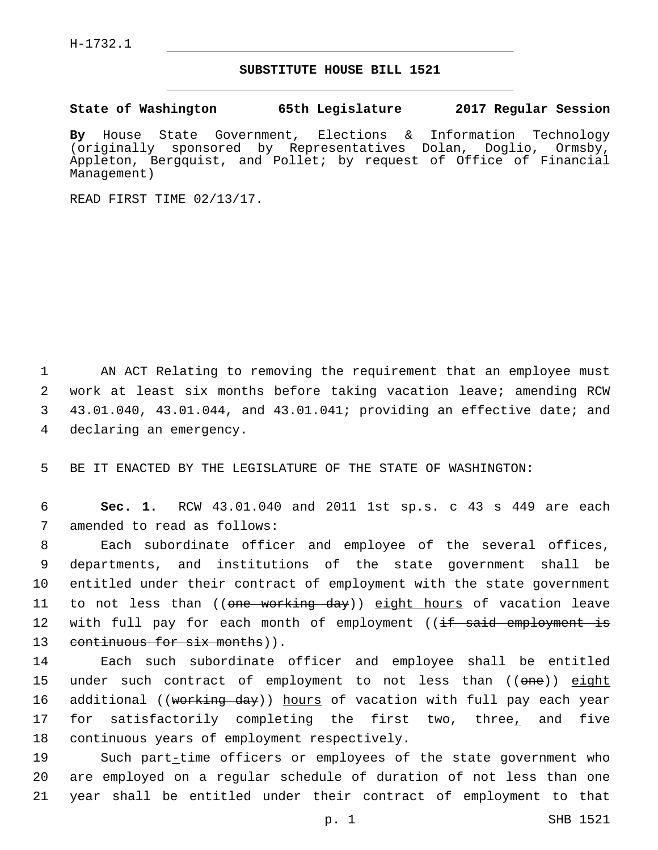## **SUBSTITUTE HOUSE BILL 1521**

**State of Washington 65th Legislature 2017 Regular Session**

**By** House State Government, Elections & Information Technology (originally sponsored by Representatives Dolan, Doglio, Ormsby, Appleton, Bergquist, and Pollet; by request of Office of Financial Management)

READ FIRST TIME 02/13/17.

 AN ACT Relating to removing the requirement that an employee must work at least six months before taking vacation leave; amending RCW 43.01.040, 43.01.044, and 43.01.041; providing an effective date; and 4 declaring an emergency.

5 BE IT ENACTED BY THE LEGISLATURE OF THE STATE OF WASHINGTON:

6 **Sec. 1.** RCW 43.01.040 and 2011 1st sp.s. c 43 s 449 are each 7 amended to read as follows:

8 Each subordinate officer and employee of the several offices, 9 departments, and institutions of the state government shall be 10 entitled under their contract of employment with the state government 11 to not less than ((<del>one working day</del>)) <u>eight hours</u> of vacation leave 12 with full pay for each month of employment ((<del>if said employment is</del> 13 continuous for six months)).

14 Each such subordinate officer and employee shall be entitled 15 under such contract of employment to not less than ((one)) eight 16 additional ((<del>working day</del>)) hours of vacation with full pay each year 17 for satisfactorily completing the first two, three, and five 18 continuous years of employment respectively.

19 Such part-time officers or employees of the state government who 20 are employed on a regular schedule of duration of not less than one 21 year shall be entitled under their contract of employment to that

p. 1 SHB 1521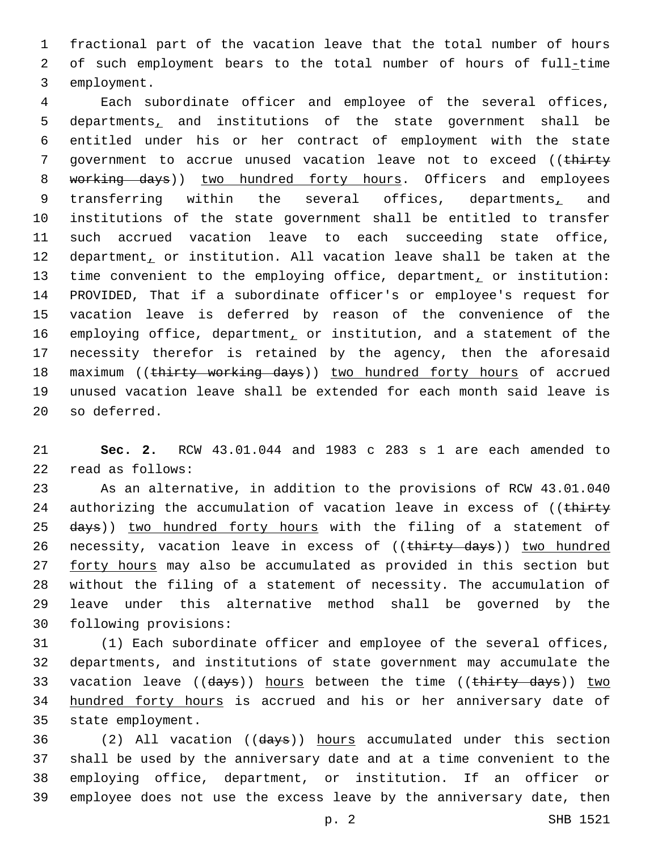1 fractional part of the vacation leave that the total number of hours 2 of such employment bears to the total number of hours of full-time 3 employment.

4 Each subordinate officer and employee of the several offices, 5 departments, and institutions of the state government shall be 6 entitled under his or her contract of employment with the state 7 government to accrue unused vacation leave not to exceed ((thirty 8 working days)) two hundred forty hours. Officers and employees 9 transferring within the several offices, departments, and 10 institutions of the state government shall be entitled to transfer 11 such accrued vacation leave to each succeeding state office, 12 department, or institution. All vacation leave shall be taken at the 13 time convenient to the employing office, department, or institution: 14 PROVIDED, That if a subordinate officer's or employee's request for 15 vacation leave is deferred by reason of the convenience of the 16 employing office, department, or institution, and a statement of the 17 necessity therefor is retained by the agency, then the aforesaid 18 maximum ((thirty working days)) two hundred forty hours of accrued 19 unused vacation leave shall be extended for each month said leave is 20 so deferred.

21 **Sec. 2.** RCW 43.01.044 and 1983 c 283 s 1 are each amended to read as follows:22

23 As an alternative, in addition to the provisions of RCW 43.01.040 24 authorizing the accumulation of vacation leave in excess of ((thirty 25 days)) two hundred forty hours with the filing of a statement of 26 necessity, vacation leave in excess of ((thirty days)) two hundred 27 forty hours may also be accumulated as provided in this section but 28 without the filing of a statement of necessity. The accumulation of 29 leave under this alternative method shall be governed by the 30 following provisions:

31 (1) Each subordinate officer and employee of the several offices, 32 departments, and institutions of state government may accumulate the 33 vacation leave ((days)) hours between the time ((thirty days)) two 34 hundred forty hours is accrued and his or her anniversary date of 35 state employment.

 (2) All vacation ((days)) hours accumulated under this section shall be used by the anniversary date and at a time convenient to the employing office, department, or institution. If an officer or employee does not use the excess leave by the anniversary date, then

p. 2 SHB 1521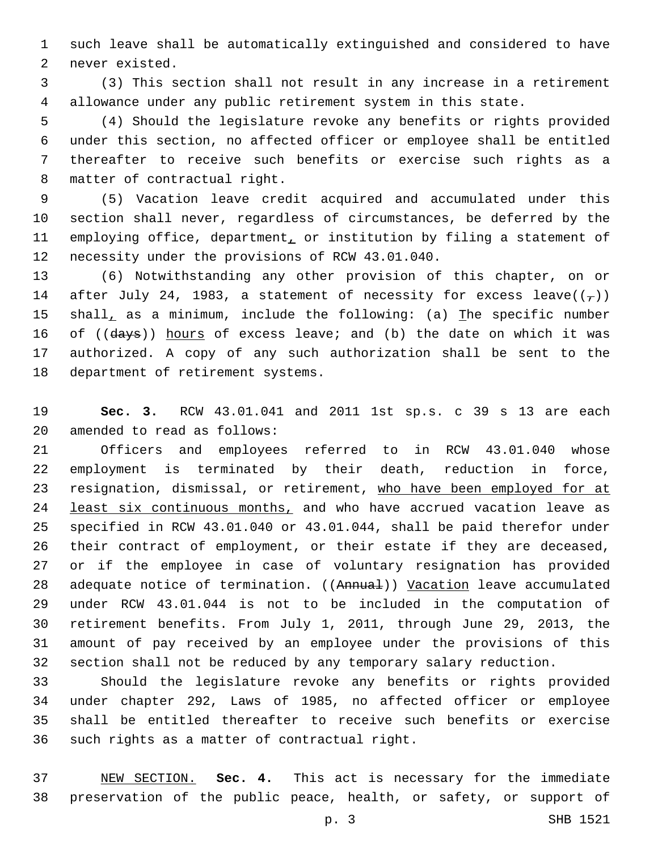such leave shall be automatically extinguished and considered to have 2 never existed.

 (3) This section shall not result in any increase in a retirement allowance under any public retirement system in this state.

 (4) Should the legislature revoke any benefits or rights provided under this section, no affected officer or employee shall be entitled thereafter to receive such benefits or exercise such rights as a 8 matter of contractual right.

 (5) Vacation leave credit acquired and accumulated under this section shall never, regardless of circumstances, be deferred by the 11 employing office, department, or institution by filing a statement of 12 necessity under the provisions of RCW 43.01.040.

 (6) Notwithstanding any other provision of this chapter, on or 14 after July 24, 1983, a statement of necessity for excess leave( $(\tau)$ ) 15 shall, as a minimum, include the following: (a) The specific number 16 of ((days)) hours of excess leave; and (b) the date on which it was authorized. A copy of any such authorization shall be sent to the 18 department of retirement systems.

 **Sec. 3.** RCW 43.01.041 and 2011 1st sp.s. c 39 s 13 are each 20 amended to read as follows:

 Officers and employees referred to in RCW 43.01.040 whose employment is terminated by their death, reduction in force, 23 resignation, dismissal, or retirement, who have been employed for at 24 least six continuous months, and who have accrued vacation leave as specified in RCW 43.01.040 or 43.01.044, shall be paid therefor under their contract of employment, or their estate if they are deceased, or if the employee in case of voluntary resignation has provided 28 adequate notice of termination. ((Annual)) Vacation leave accumulated under RCW 43.01.044 is not to be included in the computation of retirement benefits. From July 1, 2011, through June 29, 2013, the amount of pay received by an employee under the provisions of this section shall not be reduced by any temporary salary reduction.

 Should the legislature revoke any benefits or rights provided under chapter 292, Laws of 1985, no affected officer or employee shall be entitled thereafter to receive such benefits or exercise 36 such rights as a matter of contractual right.

 NEW SECTION. **Sec. 4.** This act is necessary for the immediate preservation of the public peace, health, or safety, or support of